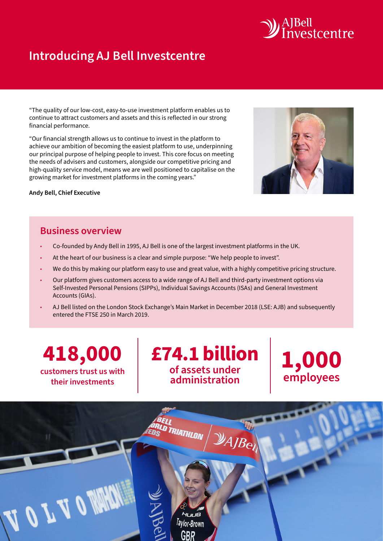

# **Introducing AJ Bell Investcentre**

"The quality of our low-cost, easy-to-use investment platform enables us to continue to attract customers and assets and this is reflected in our strong financial performance.

"Our financial strength allows us to continue to invest in the platform to achieve our ambition of becoming the easiest platform to use, underpinning our principal purpose of helping people to invest. This core focus on meeting the needs of advisers and customers, alongside our competitive pricing and high-quality service model, means we are well positioned to capitalise on the growing market for investment platforms in the coming years."



#### **Business overview**

- Co-founded by Andy Bell in 1995, AJ Bell is one of the largest investment platforms in the UK.
- At the heart of our business is a clear and simple purpose: "We help people to invest".
- We do this by making our platform easy to use and great value, with a highly competitive pricing structure.
- Our platform gives customers access to a wide range of AJ Bell and third-party investment options via Self-Invested Personal Pensions (SIPPs), Individual Savings Accounts (ISAs) and General Investment Accounts (GIAs).
- AJ Bell listed on the London Stock Exchange's Main Market in December 2018 (LSE: AJB) and subsequently entered the FTSE 250 in March 2019.

**418,000 customers trust us with their investments**

**£74.1 billion of assets under administration**

**1,000 employees**

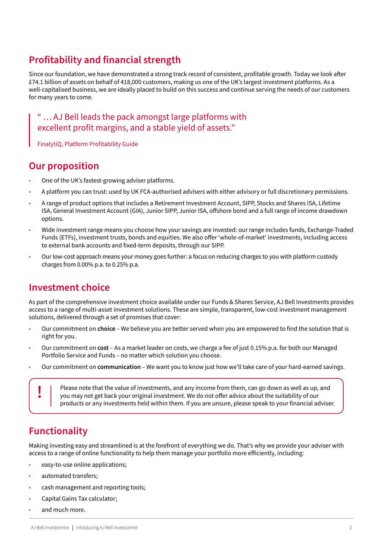# **Profitability and financial strength**

Since our foundation, we have demonstrated a strong track record of consistent, profitable growth. Today we look after £74.1 billion of assets on behalf of 418,000 customers, making us one of the UK's largest investment platforms. As a well-capitalised business, we are ideally placed to build on this success and continue serving the needs of our customers for many years to come.

" … AJ Bell leads the pack amongst large platforms with excellent profit margins, and a stable yield of assets."

FinalytiQ, Platform Profitability Guide

#### **Our proposition**

- One of the UK's fastest-growing adviser platforms.
- A platform you can trust: used by UK FCA-authorised advisers with either advisory or full discretionary permissions.
- A range of product options that includes a Retirement Investment Account, SIPP, Stocks and Shares ISA, Lifetime ISA, General Investment Account (GIA), Junior SIPP, Junior ISA, offshore bond and a full range of income drawdown options.
- Wide investment range means you choose how your savings are invested: our range includes funds, Exchange-Traded Funds (ETFs), investment trusts, bonds and equities. We also offer 'whole-of-market' investments, including access to external bank accounts and fixed-term deposits, through our SIPP.
- Our low-cost approach means your money goes further: a focus on reducing charges to you with platform custody charges from 0.00% p.a. to 0.25% p.a.

### **Investment choice**

As part of the comprehensive investment choice available under our Funds & Shares Service, AJ Bell Investments provides access to a range of multi-asset investment solutions. These are simple, transparent, low-cost investment management solutions, delivered through a set of promises that cover:

- Our commitment on **choice** We believe you are better served when you are empowered to find the solution that is right for you.
- Our commitment on **cost**  As a market leader on costs, we charge a fee of just 0.15% p.a. for both our Managed Portfolio Service and Funds – no matter which solution you choose.
- Our commitment on **communication** We want you to know just how we'll take care of your hard-earned savings.

Please note that the value of investments, and any income from them, can go down as well as up, and you may not get back your original investment. We do not offer advice about the suitability of our products or any investments held within them. If you are unsure, please speak to your financial adviser.

## **Functionality**

Making investing easy and streamlined is at the forefront of everything we do. That's why we provide your adviser with access to a range of online functionality to help them manage your portfolio more efficiently, including:

- easy-to-use online applications;
- automated transfers;
- cash management and reporting tools;
- Capital Gains Tax calculator;
- and much more.